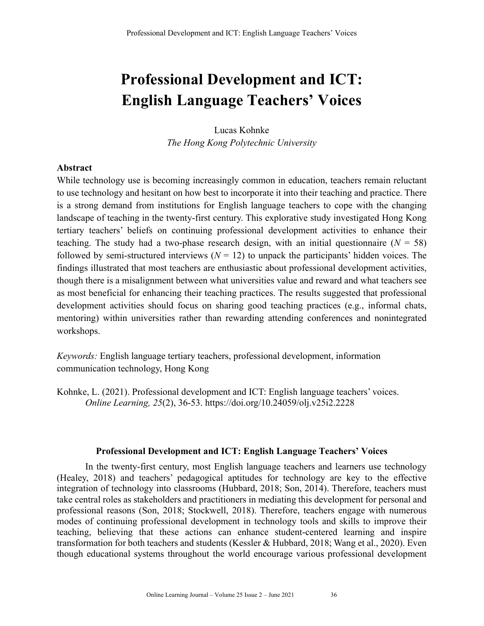# **Professional Development and ICT: English Language Teachers' Voices**

Lucas Kohnke *The Hong Kong Polytechnic University*

## **Abstract**

While technology use is becoming increasingly common in education, teachers remain reluctant to use technology and hesitant on how best to incorporate it into their teaching and practice. There is a strong demand from institutions for English language teachers to cope with the changing landscape of teaching in the twenty-first century. This explorative study investigated Hong Kong tertiary teachers' beliefs on continuing professional development activities to enhance their teaching. The study had a two-phase research design, with an initial questionnaire  $(N = 58)$ followed by semi-structured interviews  $(N = 12)$  to unpack the participants' hidden voices. The findings illustrated that most teachers are enthusiastic about professional development activities, though there is a misalignment between what universities value and reward and what teachers see as most beneficial for enhancing their teaching practices. The results suggested that professional development activities should focus on sharing good teaching practices (e.g., informal chats, mentoring) within universities rather than rewarding attending conferences and nonintegrated workshops.

*Keywords:* English language tertiary teachers, professional development, information communication technology, Hong Kong

Kohnke, L. (2021). Professional development and ICT: English language teachers' voices. *Online Learning, 25*(2), 36-53. https://doi.org/10.24059/olj.v25i2.2228

#### **Professional Development and ICT: English Language Teachers' Voices**

In the twenty-first century, most English language teachers and learners use technology (Healey, 2018) and teachers' pedagogical aptitudes for technology are key to the effective integration of technology into classrooms (Hubbard, 2018; Son, 2014). Therefore, teachers must take central roles as stakeholders and practitioners in mediating this development for personal and professional reasons (Son, 2018; Stockwell, 2018). Therefore, teachers engage with numerous modes of continuing professional development in technology tools and skills to improve their teaching, believing that these actions can enhance student-centered learning and inspire transformation for both teachers and students (Kessler & Hubbard, 2018; Wang et al., 2020). Even though educational systems throughout the world encourage various professional development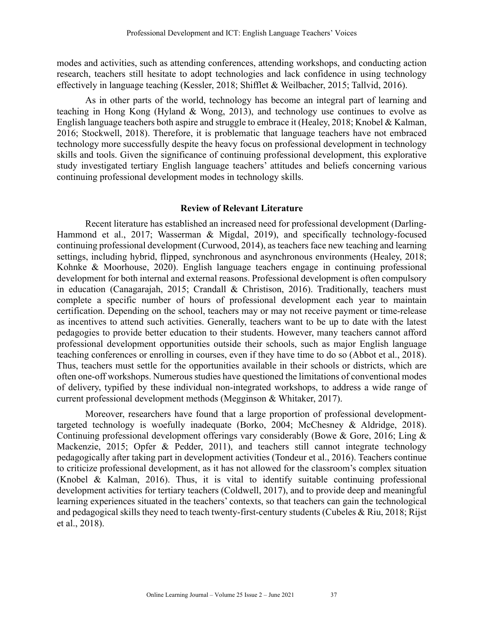modes and activities, such as attending conferences, attending workshops, and conducting action research, teachers still hesitate to adopt technologies and lack confidence in using technology effectively in language teaching (Kessler, 2018; Shifflet & Weilbacher, 2015; Tallvid, 2016).

As in other parts of the world, technology has become an integral part of learning and teaching in Hong Kong (Hyland & Wong, 2013), and technology use continues to evolve as English language teachers both aspire and struggle to embrace it (Healey, 2018; Knobel & Kalman, 2016; Stockwell, 2018). Therefore, it is problematic that language teachers have not embraced technology more successfully despite the heavy focus on professional development in technology skills and tools. Given the significance of continuing professional development, this explorative study investigated tertiary English language teachers' attitudes and beliefs concerning various continuing professional development modes in technology skills.

#### **Review of Relevant Literature**

Recent literature has established an increased need for professional development (Darling-Hammond et al., 2017; Wasserman & Migdal, 2019), and specifically technology-focused continuing professional development (Curwood, 2014), as teachers face new teaching and learning settings, including hybrid, flipped, synchronous and asynchronous environments (Healey, 2018; Kohnke & Moorhouse, 2020). English language teachers engage in continuing professional development for both internal and external reasons. Professional development is often compulsory in education (Canagarajah, 2015; Crandall & Christison, 2016). Traditionally, teachers must complete a specific number of hours of professional development each year to maintain certification. Depending on the school, teachers may or may not receive payment or time-release as incentives to attend such activities. Generally, teachers want to be up to date with the latest pedagogies to provide better education to their students. However, many teachers cannot afford professional development opportunities outside their schools, such as major English language teaching conferences or enrolling in courses, even if they have time to do so (Abbot et al., 2018). Thus, teachers must settle for the opportunities available in their schools or districts, which are often one-off workshops. Numerous studies have questioned the limitations of conventional modes of delivery, typified by these individual non-integrated workshops, to address a wide range of current professional development methods (Megginson & Whitaker, 2017).

Moreover, researchers have found that a large proportion of professional developmenttargeted technology is woefully inadequate (Borko, 2004; McChesney & Aldridge, 2018). Continuing professional development offerings vary considerably (Bowe & Gore, 2016; Ling & Mackenzie, 2015; Opfer & Pedder, 2011), and teachers still cannot integrate technology pedagogically after taking part in development activities (Tondeur et al., 2016). Teachers continue to criticize professional development, as it has not allowed for the classroom's complex situation (Knobel & Kalman, 2016). Thus, it is vital to identify suitable continuing professional development activities for tertiary teachers (Coldwell, 2017), and to provide deep and meaningful learning experiences situated in the teachers' contexts, so that teachers can gain the technological and pedagogical skills they need to teach twenty-first-century students (Cubeles & Riu, 2018; Rijst et al., 2018).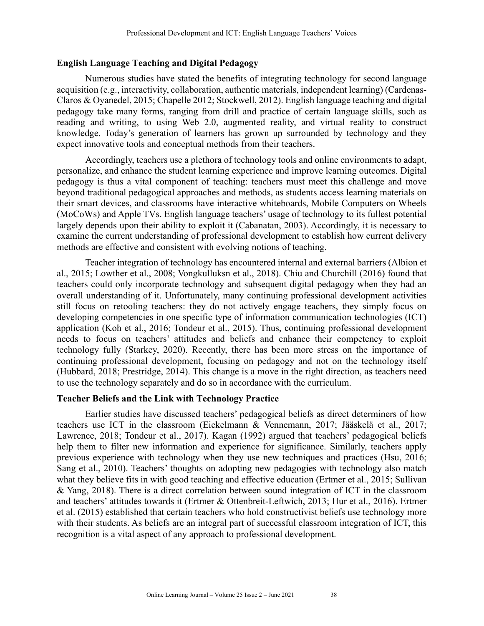#### **English Language Teaching and Digital Pedagogy**

Numerous studies have stated the benefits of integrating technology for second language acquisition (e.g., interactivity, collaboration, authentic materials, independent learning) (Cardenas-Claros & Oyanedel, 2015; Chapelle 2012; Stockwell, 2012). English language teaching and digital pedagogy take many forms, ranging from drill and practice of certain language skills, such as reading and writing, to using Web 2.0, augmented reality, and virtual reality to construct knowledge. Today's generation of learners has grown up surrounded by technology and they expect innovative tools and conceptual methods from their teachers.

Accordingly, teachers use a plethora of technology tools and online environments to adapt, personalize, and enhance the student learning experience and improve learning outcomes. Digital pedagogy is thus a vital component of teaching: teachers must meet this challenge and move beyond traditional pedagogical approaches and methods, as students access learning materials on their smart devices, and classrooms have interactive whiteboards, Mobile Computers on Wheels (MoCoWs) and Apple TVs. English language teachers' usage of technology to its fullest potential largely depends upon their ability to exploit it (Cabanatan, 2003). Accordingly, it is necessary to examine the current understanding of professional development to establish how current delivery methods are effective and consistent with evolving notions of teaching.

Teacher integration of technology has encountered internal and external barriers (Albion et al., 2015; Lowther et al., 2008; Vongkulluksn et al., 2018). Chiu and Churchill (2016) found that teachers could only incorporate technology and subsequent digital pedagogy when they had an overall understanding of it. Unfortunately, many continuing professional development activities still focus on retooling teachers: they do not actively engage teachers, they simply focus on developing competencies in one specific type of information communication technologies (ICT) application (Koh et al., 2016; Tondeur et al., 2015). Thus, continuing professional development needs to focus on teachers' attitudes and beliefs and enhance their competency to exploit technology fully (Starkey, 2020). Recently, there has been more stress on the importance of continuing professional development, focusing on pedagogy and not on the technology itself (Hubbard, 2018; Prestridge, 2014). This change is a move in the right direction, as teachers need to use the technology separately and do so in accordance with the curriculum.

#### **Teacher Beliefs and the Link with Technology Practice**

Earlier studies have discussed teachers' pedagogical beliefs as direct determiners of how teachers use ICT in the classroom (Eickelmann & Vennemann, 2017; Jääskelä et al., 2017; Lawrence, 2018; Tondeur et al., 2017). Kagan (1992) argued that teachers' pedagogical beliefs help them to filter new information and experience for significance. Similarly, teachers apply previous experience with technology when they use new techniques and practices (Hsu, 2016; Sang et al., 2010). Teachers' thoughts on adopting new pedagogies with technology also match what they believe fits in with good teaching and effective education (Ertmer et al., 2015; Sullivan & Yang, 2018). There is a direct correlation between sound integration of ICT in the classroom and teachers' attitudes towards it (Ertmer & Ottenbreit-Leftwich, 2013; Hur et al., 2016). Ertmer et al. (2015) established that certain teachers who hold constructivist beliefs use technology more with their students. As beliefs are an integral part of successful classroom integration of ICT, this recognition is a vital aspect of any approach to professional development.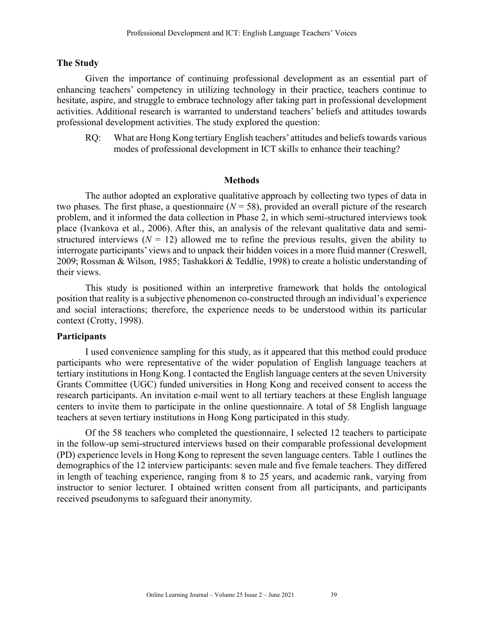#### **The Study**

Given the importance of continuing professional development as an essential part of enhancing teachers' competency in utilizing technology in their practice, teachers continue to hesitate, aspire, and struggle to embrace technology after taking part in professional development activities. Additional research is warranted to understand teachers' beliefs and attitudes towards professional development activities. The study explored the question:

RQ: What are Hong Kong tertiary English teachers' attitudes and beliefs towards various modes of professional development in ICT skills to enhance their teaching?

#### **Methods**

The author adopted an explorative qualitative approach by collecting two types of data in two phases. The first phase, a questionnaire  $(N = 58)$ , provided an overall picture of the research problem, and it informed the data collection in Phase 2, in which semi-structured interviews took place (Ivankova et al., 2006). After this, an analysis of the relevant qualitative data and semistructured interviews  $(N = 12)$  allowed me to refine the previous results, given the ability to interrogate participants' views and to unpack their hidden voices in a more fluid manner (Creswell, 2009; Rossman & Wilson, 1985; Tashakkori & Teddlie, 1998) to create a holistic understanding of their views.

This study is positioned within an interpretive framework that holds the ontological position that reality is a subjective phenomenon co-constructed through an individual's experience and social interactions; therefore, the experience needs to be understood within its particular context (Crotty, 1998).

#### **Participants**

I used convenience sampling for this study, as it appeared that this method could produce participants who were representative of the wider population of English language teachers at tertiary institutions in Hong Kong. I contacted the English language centers at the seven University Grants Committee (UGC) funded universities in Hong Kong and received consent to access the research participants. An invitation e-mail went to all tertiary teachers at these English language centers to invite them to participate in the online questionnaire. A total of 58 English language teachers at seven tertiary institutions in Hong Kong participated in this study.

Of the 58 teachers who completed the questionnaire, I selected 12 teachers to participate in the follow-up semi-structured interviews based on their comparable professional development (PD) experience levels in Hong Kong to represent the seven language centers. Table 1 outlines the demographics of the 12 interview participants: seven male and five female teachers. They differed in length of teaching experience, ranging from 8 to 25 years, and academic rank, varying from instructor to senior lecturer. I obtained written consent from all participants, and participants received pseudonyms to safeguard their anonymity.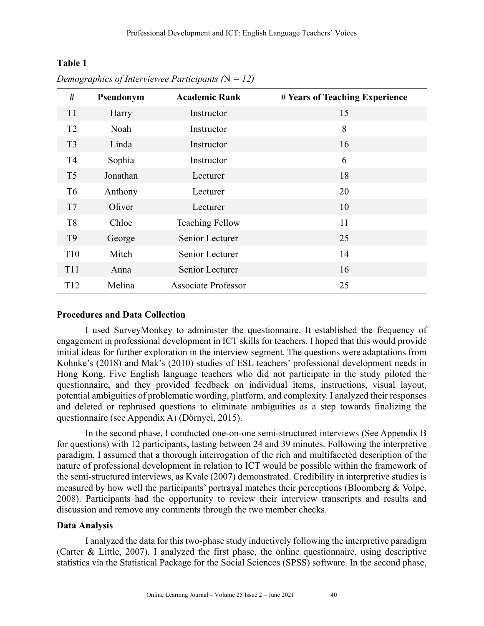# **Table 1**

| #               | Pseudonym | <b>Academic Rank</b>       | # Years of Teaching Experience |
|-----------------|-----------|----------------------------|--------------------------------|
| T <sub>1</sub>  | Harry     | Instructor                 | 15                             |
| T <sub>2</sub>  | Noah      | Instructor                 | 8                              |
| T <sub>3</sub>  | Linda     | Instructor                 | 16                             |
| T <sub>4</sub>  | Sophia    | Instructor                 | 6                              |
| T <sub>5</sub>  | Jonathan  | Lecturer                   | 18                             |
| T <sub>6</sub>  | Anthony   | Lecturer                   | 20                             |
| T7              | Oliver    | Lecturer                   | 10                             |
| T <sub>8</sub>  | Chloe     | <b>Teaching Fellow</b>     | 11                             |
| T <sub>9</sub>  | George    | Senior Lecturer            | 25                             |
| T <sub>10</sub> | Mitch     | Senior Lecturer            | 14                             |
| T <sub>11</sub> | Anna      | Senior Lecturer            | 16                             |
| T <sub>12</sub> | Melina    | <b>Associate Professor</b> | 25                             |

*Demographics of Interviewee Participants (*N *= 12)*

## **Procedures and Data Collection**

I used SurveyMonkey to administer the questionnaire. It established the frequency of engagement in professional development in ICT skills for teachers. I hoped that this would provide initial ideas for further exploration in the interview segment. The questions were adaptations from Kohnke's (2018) and Mak's (2010) studies of ESL teachers' professional development needs in Hong Kong. Five English language teachers who did not participate in the study piloted the questionnaire, and they provided feedback on individual items, instructions, visual layout, potential ambiguities of problematic wording, platform, and complexity. I analyzed their responses and deleted or rephrased questions to eliminate ambiguities as a step towards finalizing the questionnaire (see Appendix A) (Dörnyei, 2015).

In the second phase, I conducted one-on-one semi-structured interviews (See Appendix B for questions) with 12 participants, lasting between 24 and 39 minutes. Following the interpretive paradigm, I assumed that a thorough interrogation of the rich and multifaceted description of the nature of professional development in relation to ICT would be possible within the framework of the semi-structured interviews, as Kvale (2007) demonstrated. Credibility in interpretive studies is measured by how well the participants' portrayal matches their perceptions (Bloomberg & Volpe, 2008). Participants had the opportunity to review their interview transcripts and results and discussion and remove any comments through the two member checks.

# **Data Analysis**

I analyzed the data for this two-phase study inductively following the interpretive paradigm (Carter & Little, 2007). I analyzed the first phase, the online questionnaire, using descriptive statistics via the Statistical Package for the Social Sciences (SPSS) software. In the second phase,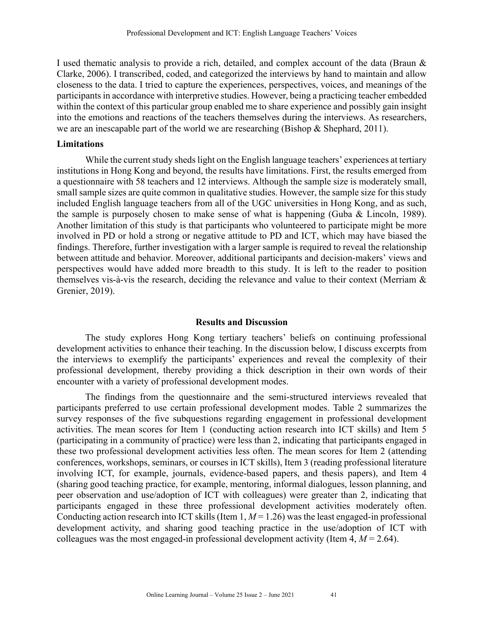I used thematic analysis to provide a rich, detailed, and complex account of the data (Braun & Clarke, 2006). I transcribed, coded, and categorized the interviews by hand to maintain and allow closeness to the data. I tried to capture the experiences, perspectives, voices, and meanings of the participants in accordance with interpretive studies. However, being a practicing teacher embedded within the context of this particular group enabled me to share experience and possibly gain insight into the emotions and reactions of the teachers themselves during the interviews. As researchers, we are an inescapable part of the world we are researching (Bishop & Shephard, 2011).

### **Limitations**

While the current study sheds light on the English language teachers' experiences at tertiary institutions in Hong Kong and beyond, the results have limitations. First, the results emerged from a questionnaire with 58 teachers and 12 interviews. Although the sample size is moderately small, small sample sizes are quite common in qualitative studies. However, the sample size for this study included English language teachers from all of the UGC universities in Hong Kong, and as such, the sample is purposely chosen to make sense of what is happening (Guba & Lincoln, 1989). Another limitation of this study is that participants who volunteered to participate might be more involved in PD or hold a strong or negative attitude to PD and ICT, which may have biased the findings. Therefore, further investigation with a larger sample is required to reveal the relationship between attitude and behavior. Moreover, additional participants and decision-makers' views and perspectives would have added more breadth to this study. It is left to the reader to position themselves vis-à-vis the research, deciding the relevance and value to their context (Merriam & Grenier, 2019).

#### **Results and Discussion**

The study explores Hong Kong tertiary teachers' beliefs on continuing professional development activities to enhance their teaching. In the discussion below, I discuss excerpts from the interviews to exemplify the participants' experiences and reveal the complexity of their professional development, thereby providing a thick description in their own words of their encounter with a variety of professional development modes.

The findings from the questionnaire and the semi-structured interviews revealed that participants preferred to use certain professional development modes. Table 2 summarizes the survey responses of the five subquestions regarding engagement in professional development activities. The mean scores for Item 1 (conducting action research into ICT skills) and Item 5 (participating in a community of practice) were less than 2, indicating that participants engaged in these two professional development activities less often. The mean scores for Item 2 (attending conferences, workshops, seminars, or courses in ICT skills), Item 3 (reading professional literature involving ICT, for example, journals, evidence-based papers, and thesis papers), and Item 4 (sharing good teaching practice, for example, mentoring, informal dialogues, lesson planning, and peer observation and use/adoption of ICT with colleagues) were greater than 2, indicating that participants engaged in these three professional development activities moderately often. Conducting action research into ICT skills (Item  $1, M = 1.26$ ) was the least engaged-in professional development activity, and sharing good teaching practice in the use/adoption of ICT with colleagues was the most engaged-in professional development activity (Item  $4, M = 2.64$ ).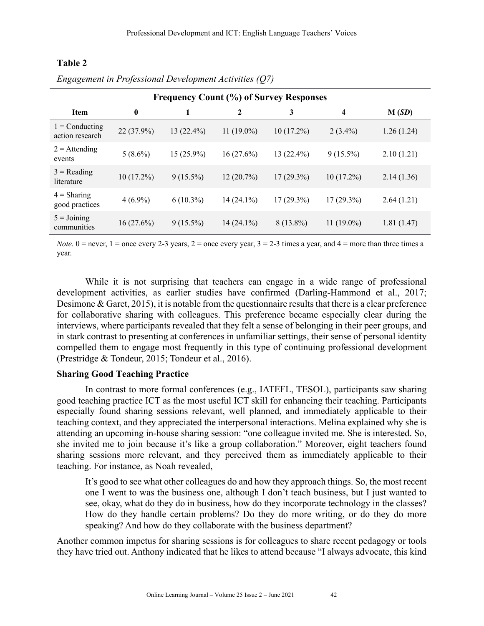## **Table 2**

| <b>Frequency Count (%) of Survey Responses</b> |              |              |              |              |              |            |
|------------------------------------------------|--------------|--------------|--------------|--------------|--------------|------------|
| <b>Item</b>                                    | $\bf{0}$     |              | 2            | 3            | 4            | M(SD)      |
| $1 =$ Conducting<br>action research            | 22 (37.9%)   | $13(22.4\%)$ | $11(19.0\%)$ | $10(17.2\%)$ | $2(3.4\%)$   | 1.26(1.24) |
| $2 =$ Attending<br>events                      | $5(8.6\%)$   | $15(25.9\%)$ | 16(27.6%)    | $13(22.4\%)$ | $9(15.5\%)$  | 2.10(1.21) |
| $3 = Reading$<br>literature                    | $10(17.2\%)$ | $9(15.5\%)$  | 12(20.7%)    | $17(29.3\%)$ | $10(17.2\%)$ | 2.14(1.36) |
| $4 = Sharing$<br>good practices                | $4(6.9\%)$   | $6(10.3\%)$  | $14(24.1\%)$ | $17(29.3\%)$ | $17(29.3\%)$ | 2.64(1.21) |
| $5 =$ Joining<br>communities                   | $16(27.6\%)$ | $9(15.5\%)$  | $14(24.1\%)$ | $8(13.8\%)$  | $11(19.0\%)$ | 1.81(1.47) |

*Engagement in Professional Development Activities (Q7)*

*Note*.  $0 =$  never,  $1 =$  once every 2-3 years,  $2 =$  once every year,  $3 = 2-3$  times a year, and  $4 =$  more than three times a year.

While it is not surprising that teachers can engage in a wide range of professional development activities, as earlier studies have confirmed (Darling-Hammond et al., 2017; Desimone & Garet, 2015), it is notable from the questionnaire results that there is a clear preference for collaborative sharing with colleagues. This preference became especially clear during the interviews, where participants revealed that they felt a sense of belonging in their peer groups, and in stark contrast to presenting at conferences in unfamiliar settings, their sense of personal identity compelled them to engage most frequently in this type of continuing professional development (Prestridge & Tondeur, 2015; Tondeur et al., 2016).

#### **Sharing Good Teaching Practice**

In contrast to more formal conferences (e.g., IATEFL, TESOL), participants saw sharing good teaching practice ICT as the most useful ICT skill for enhancing their teaching. Participants especially found sharing sessions relevant, well planned, and immediately applicable to their teaching context, and they appreciated the interpersonal interactions. Melina explained why she is attending an upcoming in-house sharing session: "one colleague invited me. She is interested. So, she invited me to join because it's like a group collaboration." Moreover, eight teachers found sharing sessions more relevant, and they perceived them as immediately applicable to their teaching. For instance, as Noah revealed,

It's good to see what other colleagues do and how they approach things. So, the most recent one I went to was the business one, although I don't teach business, but I just wanted to see, okay, what do they do in business, how do they incorporate technology in the classes? How do they handle certain problems? Do they do more writing, or do they do more speaking? And how do they collaborate with the business department?

Another common impetus for sharing sessions is for colleagues to share recent pedagogy or tools they have tried out. Anthony indicated that he likes to attend because "I always advocate, this kind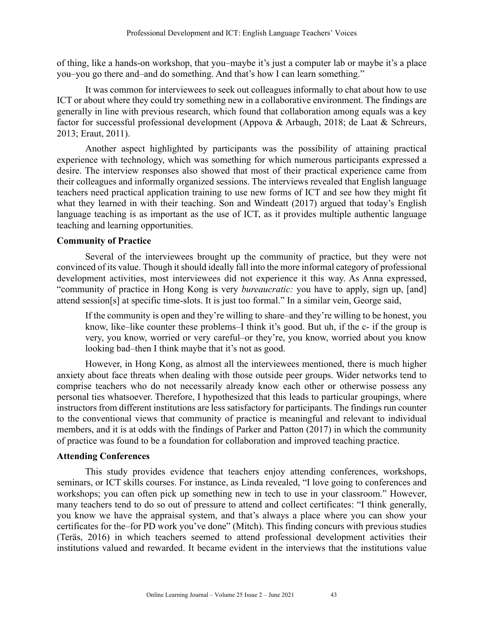of thing, like a hands-on workshop, that you–maybe it's just a computer lab or maybe it's a place you–you go there and–and do something. And that's how I can learn something."

It was common for interviewees to seek out colleagues informally to chat about how to use ICT or about where they could try something new in a collaborative environment. The findings are generally in line with previous research, which found that collaboration among equals was a key factor for successful professional development (Appova & Arbaugh, 2018; de Laat & Schreurs, 2013; Eraut, 2011).

Another aspect highlighted by participants was the possibility of attaining practical experience with technology, which was something for which numerous participants expressed a desire. The interview responses also showed that most of their practical experience came from their colleagues and informally organized sessions. The interviews revealed that English language teachers need practical application training to use new forms of ICT and see how they might fit what they learned in with their teaching. Son and Windeatt (2017) argued that today's English language teaching is as important as the use of ICT, as it provides multiple authentic language teaching and learning opportunities.

# **Community of Practice**

Several of the interviewees brought up the community of practice, but they were not convinced of its value. Though it should ideally fall into the more informal category of professional development activities, most interviewees did not experience it this way. As Anna expressed, "community of practice in Hong Kong is very *bureaucratic:* you have to apply, sign up, [and] attend session[s] at specific time-slots. It is just too formal." In a similar vein, George said,

If the community is open and they're willing to share–and they're willing to be honest, you know, like–like counter these problems–I think it's good. But uh, if the c- if the group is very, you know, worried or very careful–or they're, you know, worried about you know looking bad–then I think maybe that it's not as good.

However, in Hong Kong, as almost all the interviewees mentioned, there is much higher anxiety about face threats when dealing with those outside peer groups. Wider networks tend to comprise teachers who do not necessarily already know each other or otherwise possess any personal ties whatsoever. Therefore, I hypothesized that this leads to particular groupings, where instructors from different institutions are less satisfactory for participants. The findings run counter to the conventional views that community of practice is meaningful and relevant to individual members, and it is at odds with the findings of Parker and Patton (2017) in which the community of practice was found to be a foundation for collaboration and improved teaching practice.

## **Attending Conferences**

This study provides evidence that teachers enjoy attending conferences, workshops, seminars, or ICT skills courses. For instance, as Linda revealed, "I love going to conferences and workshops; you can often pick up something new in tech to use in your classroom." However, many teachers tend to do so out of pressure to attend and collect certificates: "I think generally, you know we have the appraisal system, and that's always a place where you can show your certificates for the–for PD work you've done" (Mitch). This finding concurs with previous studies (Teräs, 2016) in which teachers seemed to attend professional development activities their institutions valued and rewarded. It became evident in the interviews that the institutions value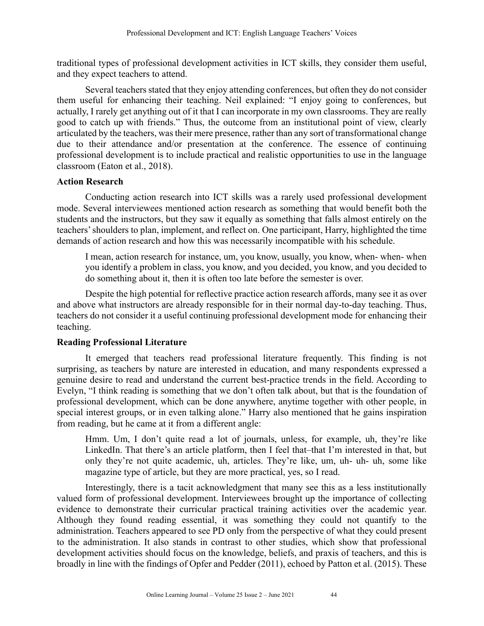traditional types of professional development activities in ICT skills, they consider them useful, and they expect teachers to attend.

Several teachers stated that they enjoy attending conferences, but often they do not consider them useful for enhancing their teaching. Neil explained: "I enjoy going to conferences, but actually, I rarely get anything out of it that I can incorporate in my own classrooms. They are really good to catch up with friends." Thus, the outcome from an institutional point of view, clearly articulated by the teachers, was their mere presence, rather than any sort of transformational change due to their attendance and/or presentation at the conference. The essence of continuing professional development is to include practical and realistic opportunities to use in the language classroom (Eaton et al., 2018).

## **Action Research**

Conducting action research into ICT skills was a rarely used professional development mode. Several interviewees mentioned action research as something that would benefit both the students and the instructors, but they saw it equally as something that falls almost entirely on the teachers' shoulders to plan, implement, and reflect on. One participant, Harry, highlighted the time demands of action research and how this was necessarily incompatible with his schedule.

I mean, action research for instance, um, you know, usually, you know, when- when- when you identify a problem in class, you know, and you decided, you know, and you decided to do something about it, then it is often too late before the semester is over.

Despite the high potential for reflective practice action research affords, many see it as over and above what instructors are already responsible for in their normal day-to-day teaching. Thus, teachers do not consider it a useful continuing professional development mode for enhancing their teaching.

# **Reading Professional Literature**

It emerged that teachers read professional literature frequently. This finding is not surprising, as teachers by nature are interested in education, and many respondents expressed a genuine desire to read and understand the current best-practice trends in the field. According to Evelyn, "I think reading is something that we don't often talk about, but that is the foundation of professional development, which can be done anywhere, anytime together with other people, in special interest groups, or in even talking alone." Harry also mentioned that he gains inspiration from reading, but he came at it from a different angle:

Hmm. Um, I don't quite read a lot of journals, unless, for example, uh, they're like LinkedIn. That there's an article platform, then I feel that–that I'm interested in that, but only they're not quite academic, uh, articles. They're like, um, uh- uh- uh, some like magazine type of article, but they are more practical, yes, so I read.

Interestingly, there is a tacit acknowledgment that many see this as a less institutionally valued form of professional development. Interviewees brought up the importance of collecting evidence to demonstrate their curricular practical training activities over the academic year. Although they found reading essential, it was something they could not quantify to the administration. Teachers appeared to see PD only from the perspective of what they could present to the administration. It also stands in contrast to other studies, which show that professional development activities should focus on the knowledge, beliefs, and praxis of teachers, and this is broadly in line with the findings of Opfer and Pedder (2011), echoed by Patton et al. (2015). These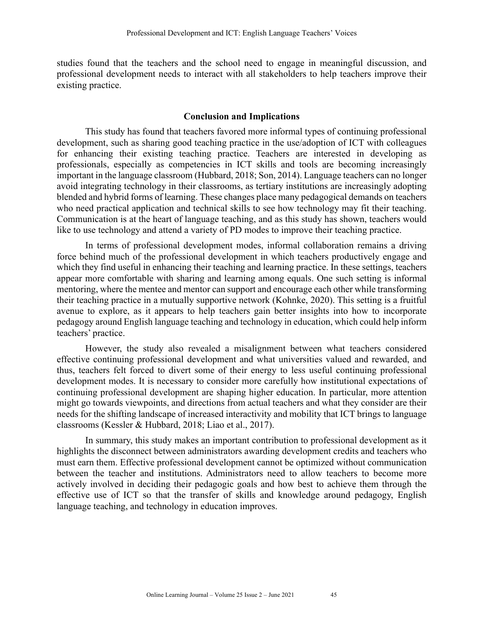studies found that the teachers and the school need to engage in meaningful discussion, and professional development needs to interact with all stakeholders to help teachers improve their existing practice.

#### **Conclusion and Implications**

This study has found that teachers favored more informal types of continuing professional development, such as sharing good teaching practice in the use/adoption of ICT with colleagues for enhancing their existing teaching practice. Teachers are interested in developing as professionals, especially as competencies in ICT skills and tools are becoming increasingly important in the language classroom (Hubbard, 2018; Son, 2014). Language teachers can no longer avoid integrating technology in their classrooms, as tertiary institutions are increasingly adopting blended and hybrid forms of learning. These changes place many pedagogical demands on teachers who need practical application and technical skills to see how technology may fit their teaching. Communication is at the heart of language teaching, and as this study has shown, teachers would like to use technology and attend a variety of PD modes to improve their teaching practice.

In terms of professional development modes, informal collaboration remains a driving force behind much of the professional development in which teachers productively engage and which they find useful in enhancing their teaching and learning practice. In these settings, teachers appear more comfortable with sharing and learning among equals. One such setting is informal mentoring, where the mentee and mentor can support and encourage each other while transforming their teaching practice in a mutually supportive network (Kohnke, 2020). This setting is a fruitful avenue to explore, as it appears to help teachers gain better insights into how to incorporate pedagogy around English language teaching and technology in education, which could help inform teachers' practice.

However, the study also revealed a misalignment between what teachers considered effective continuing professional development and what universities valued and rewarded, and thus, teachers felt forced to divert some of their energy to less useful continuing professional development modes. It is necessary to consider more carefully how institutional expectations of continuing professional development are shaping higher education. In particular, more attention might go towards viewpoints, and directions from actual teachers and what they consider are their needs for the shifting landscape of increased interactivity and mobility that ICT brings to language classrooms (Kessler & Hubbard, 2018; Liao et al., 2017).

In summary, this study makes an important contribution to professional development as it highlights the disconnect between administrators awarding development credits and teachers who must earn them. Effective professional development cannot be optimized without communication between the teacher and institutions. Administrators need to allow teachers to become more actively involved in deciding their pedagogic goals and how best to achieve them through the effective use of ICT so that the transfer of skills and knowledge around pedagogy, English language teaching, and technology in education improves.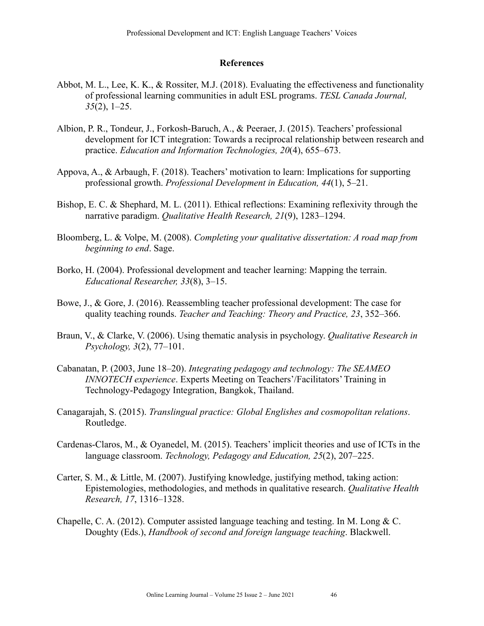#### **References**

- Abbot, M. L., Lee, K. K., & Rossiter, M.J. (2018). Evaluating the effectiveness and functionality of professional learning communities in adult ESL programs. *TESL Canada Journal, 35*(2), 1–25.
- Albion, P. R., Tondeur, J., Forkosh-Baruch, A., & Peeraer, J. (2015). Teachers' professional development for ICT integration: Towards a reciprocal relationship between research and practice. *Education and Information Technologies, 20*(4), 655–673.
- Appova, A., & Arbaugh, F. (2018). Teachers' motivation to learn: Implications for supporting professional growth. *Professional Development in Education, 44*(1), 5–21.
- Bishop, E. C. & Shephard, M. L. (2011). Ethical reflections: Examining reflexivity through the narrative paradigm. *Qualitative Health Research, 21*(9), 1283–1294.
- Bloomberg, L. & Volpe, M. (2008). *Completing your qualitative dissertation: A road map from beginning to end*. Sage.
- Borko, H. (2004). Professional development and teacher learning: Mapping the terrain. *Educational Researcher, 33*(8), 3–15.
- Bowe, J., & Gore, J. (2016). Reassembling teacher professional development: The case for quality teaching rounds. *Teacher and Teaching: Theory and Practice, 23*, 352–366.
- Braun, V., & Clarke, V. (2006). Using thematic analysis in psychology. *Qualitative Research in Psychology, 3*(2), 77–101.
- Cabanatan, P. (2003, June 18–20). *Integrating pedagogy and technology: The SEAMEO INNOTECH experience*. Experts Meeting on Teachers'/Facilitators' Training in Technology-Pedagogy Integration, Bangkok, Thailand.
- Canagarajah, S. (2015). *Translingual practice: Global Englishes and cosmopolitan relations*. Routledge.
- Cardenas-Claros, M., & Oyanedel, M. (2015). Teachers' implicit theories and use of ICTs in the language classroom. *Technology, Pedagogy and Education, 25*(2), 207–225.
- Carter, S. M., & Little, M. (2007). Justifying knowledge, justifying method, taking action: Epistemologies, methodologies, and methods in qualitative research. *Qualitative Health Research, 17*, 1316–1328.
- Chapelle, C. A. (2012). Computer assisted language teaching and testing. In M. Long & C. Doughty (Eds.), *Handbook of second and foreign language teaching*. Blackwell.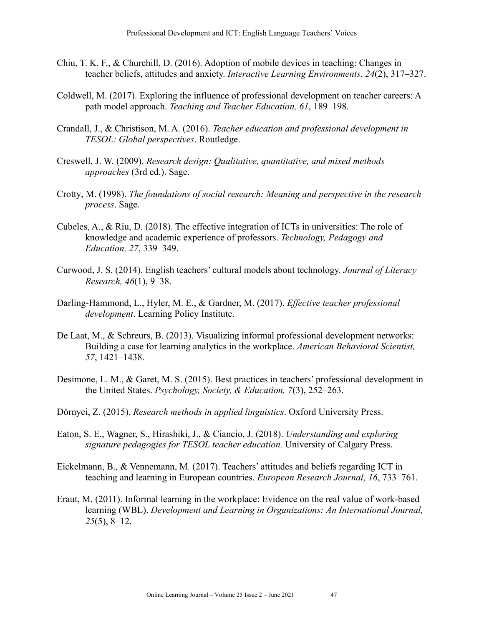- Chiu, T. K. F., & Churchill, D. (2016). Adoption of mobile devices in teaching: Changes in teacher beliefs, attitudes and anxiety. *Interactive Learning Environments, 24*(2), 317–327.
- Coldwell, M. (2017). Exploring the influence of professional development on teacher careers: A path model approach. *Teaching and Teacher Education, 61*, 189–198.
- Crandall, J., & Christison, M. A. (2016). *Teacher education and professional development in TESOL: Global perspectives*. Routledge.
- Creswell, J. W. (2009). *Research design: Qualitative, quantitative, and mixed methods approaches* (3rd ed.). Sage.
- Crotty, M. (1998). *The foundations of social research: Meaning and perspective in the research process*. Sage.
- Cubeles, A., & Riu, D. (2018). The effective integration of ICTs in universities: The role of knowledge and academic experience of professors. *Technology, Pedagogy and Education, 27*, 339–349.
- Curwood, J. S. (2014). English teachers' cultural models about technology. *Journal of Literacy Research, 46*(1), 9–38.
- Darling-Hammond, L., Hyler, M. E., & Gardner, M. (2017). *Effective teacher professional development*. Learning Policy Institute.
- De Laat, M., & Schreurs, B. (2013). Visualizing informal professional development networks: Building a case for learning analytics in the workplace. *American Behavioral Scientist, 57*, 1421–1438.
- Desimone, L. M., & Garet, M. S. (2015). Best practices in teachers' professional development in the United States. *Psychology, Society, & Education, 7*(3), 252–263.
- Dörnyei, Z. (2015). *Research methods in applied linguistics*. Oxford University Press.
- Eaton, S. E., Wagner, S., Hirashiki, J., & Ciancio, J. (2018). *Understanding and exploring signature pedagogies for TESOL teacher education.* University of Calgary Press.
- Eickelmann, B., & Vennemann, M. (2017). Teachers' attitudes and beliefs regarding ICT in teaching and learning in European countries. *European Research Journal, 16*, 733–761.
- Eraut, M. (2011). Informal learning in the workplace: Evidence on the real value of work‐based learning (WBL). *Development and Learning in Organizations: An International Journal, 25*(5), 8–12.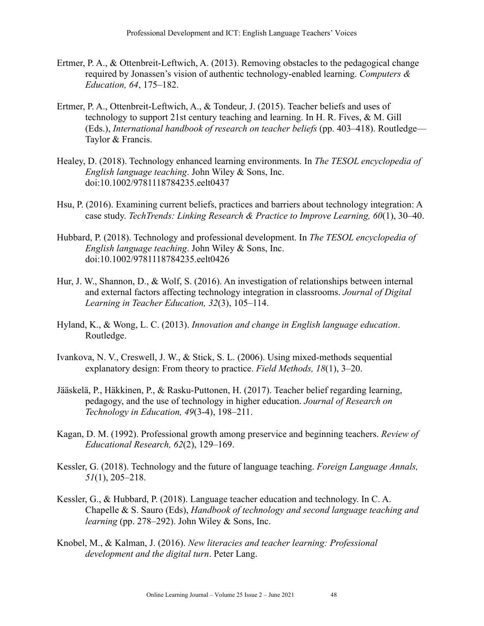- Ertmer, P. A., & Ottenbreit-Leftwich, A. (2013). Removing obstacles to the pedagogical change required by Jonassen's vision of authentic technology-enabled learning. *Computers & Education, 64*, 175–182.
- Ertmer, P. A., Ottenbreit-Leftwich, A., & Tondeur, J. (2015). Teacher beliefs and uses of technology to support 21st century teaching and learning. In H. R. Fives, & M. Gill (Eds.), *International handbook of research on teacher beliefs* (pp. 403–418). Routledge— Taylor & Francis.
- Healey, D. (2018). Technology enhanced learning environments. In *The TESOL encyclopedia of English language teaching*. John Wiley & Sons, Inc. doi:10.1002/9781118784235.eelt0437
- Hsu, P. (2016). Examining current beliefs, practices and barriers about technology integration: A case study. *TechTrends: Linking Research & Practice to Improve Learning, 60*(1), 30–40.
- Hubbard, P. (2018). Technology and professional development. In *The TESOL encyclopedia of English language teaching*. John Wiley & Sons, Inc. doi:10.1002/9781118784235.eelt0426
- Hur, J. W., Shannon, D., & Wolf, S. (2016). An investigation of relationships between internal and external factors affecting technology integration in classrooms. *Journal of Digital Learning in Teacher Education, 32*(3), 105–114.
- Hyland, K., & Wong, L. C. (2013). *Innovation and change in English language education*. Routledge.
- Ivankova, N. V., Creswell, J. W., & Stick, S. L. (2006). Using mixed-methods sequential explanatory design: From theory to practice. *Field Methods, 18*(1), 3–20.
- Jääskelä, P., Häkkinen, P., & Rasku-Puttonen, H. (2017). Teacher belief regarding learning, pedagogy, and the use of technology in higher education. *Journal of Research on Technology in Education, 49*(3-4), 198–211.
- Kagan, D. M. (1992). Professional growth among preservice and beginning teachers. *Review of Educational Research, 62*(2), 129–169.
- Kessler, G. (2018). Technology and the future of language teaching. *Foreign Language Annals, 51*(1), 205–218.
- Kessler, G., & Hubbard, P. (2018). Language teacher education and technology. In C. A. Chapelle & S. Sauro (Eds), *Handbook of technology and second language teaching and learning* (pp. 278–292). John Wiley & Sons, Inc.
- Knobel, M., & Kalman, J. (2016). *New literacies and teacher learning: Professional development and the digital turn*. Peter Lang.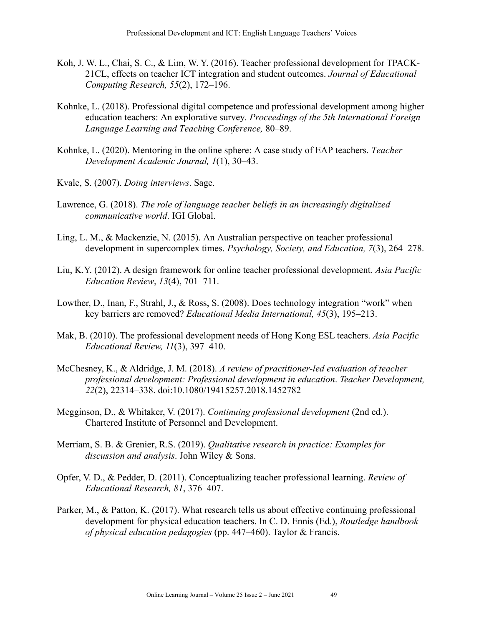- Koh, J. W. L., Chai, S. C., & Lim, W. Y. (2016). Teacher professional development for TPACK-21CL, effects on teacher ICT integration and student outcomes. *Journal of Educational Computing Research, 55*(2), 172–196.
- Kohnke, L. (2018). Professional digital competence and professional development among higher education teachers: An explorative survey*. Proceedings of the 5th International Foreign Language Learning and Teaching Conference,* 80–89.
- Kohnke, L. (2020). Mentoring in the online sphere: A case study of EAP teachers. *Teacher Development Academic Journal, 1*(1), 30–43.
- Kvale, S. (2007). *Doing interviews*. Sage.
- Lawrence, G. (2018). *The role of language teacher beliefs in an increasingly digitalized communicative world*. IGI Global.
- Ling, L. M., & Mackenzie, N. (2015). An Australian perspective on teacher professional development in supercomplex times. *Psychology, Society, and Education, 7*(3), 264–278.
- Liu, K.Y. (2012). A design framework for online teacher professional development. *Asia Pacific Education Review*, *13*(4), 701–711.
- Lowther, D., Inan, F., Strahl, J., & Ross, S. (2008). Does technology integration "work" when key barriers are removed? *Educational Media International, 45*(3), 195–213.
- Mak, B. (2010). The professional development needs of Hong Kong ESL teachers. *Asia Pacific Educational Review, 11*(3), 397–410.
- McChesney, K., & Aldridge, J. M. (2018). *A review of practitioner-led evaluation of teacher professional development: Professional development in education*. *Teacher Development, 22*(2), 22314–338. doi:10.1080/19415257.2018.1452782
- Megginson, D., & Whitaker, V. (2017). *Continuing professional development* (2nd ed.). Chartered Institute of Personnel and Development.
- Merriam, S. B. & Grenier, R.S. (2019). *Qualitative research in practice: Examples for discussion and analysis*. John Wiley & Sons.
- Opfer, V. D., & Pedder, D. (2011). Conceptualizing teacher professional learning. *Review of Educational Research, 81*, 376–407.
- Parker, M., & Patton, K. (2017). What research tells us about effective continuing professional development for physical education teachers. In C. D. Ennis (Ed.), *Routledge handbook of physical education pedagogies* (pp. 447–460). Taylor & Francis.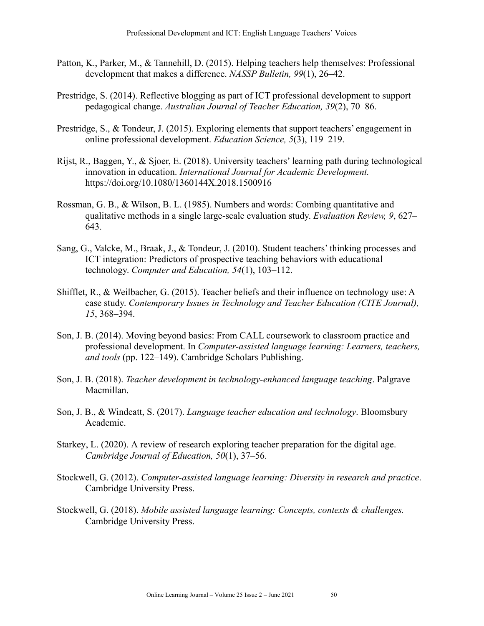- Patton, K., Parker, M., & Tannehill, D. (2015). Helping teachers help themselves: Professional development that makes a difference. *NASSP Bulletin, 99*(1), 26–42.
- Prestridge, S. (2014). Reflective blogging as part of ICT professional development to support pedagogical change. *Australian Journal of Teacher Education, 39*(2), 70–86.
- Prestridge, S., & Tondeur, J. (2015). Exploring elements that support teachers' engagement in online professional development. *Education Science, 5*(3), 119–219.
- Rijst, R., Baggen, Y., & Sjoer, E. (2018). University teachers' learning path during technological innovation in education. *International Journal for Academic Development.*  https://doi.org/10.1080/1360144X.2018.1500916
- Rossman, G. B., & Wilson, B. L. (1985). Numbers and words: Combing quantitative and qualitative methods in a single large-scale evaluation study. *Evaluation Review, 9*, 627– 643.
- Sang, G., Valcke, M., Braak, J., & Tondeur, J. (2010). Student teachers' thinking processes and ICT integration: Predictors of prospective teaching behaviors with educational technology. *Computer and Education, 54*(1), 103–112.
- Shifflet, R., & Weilbacher, G. (2015). Teacher beliefs and their influence on technology use: A case study. *Contemporary Issues in Technology and Teacher Education (CITE Journal), 15*, 368–394.
- Son, J. B. (2014). Moving beyond basics: From CALL coursework to classroom practice and professional development. In *Computer-assisted language learning: Learners, teachers, and tools* (pp. 122–149). Cambridge Scholars Publishing.
- Son, J. B. (2018). *Teacher development in technology-enhanced language teaching*. Palgrave Macmillan.
- Son, J. B., & Windeatt, S. (2017). *Language teacher education and technology*. Bloomsbury Academic.
- Starkey, L. (2020). A review of research exploring teacher preparation for the digital age. *Cambridge Journal of Education, 50*(1), 37–56.
- Stockwell, G. (2012). *Computer-assisted language learning: Diversity in research and practice*. Cambridge University Press.
- Stockwell, G. (2018). *Mobile assisted language learning: Concepts, contexts & challenges.* Cambridge University Press.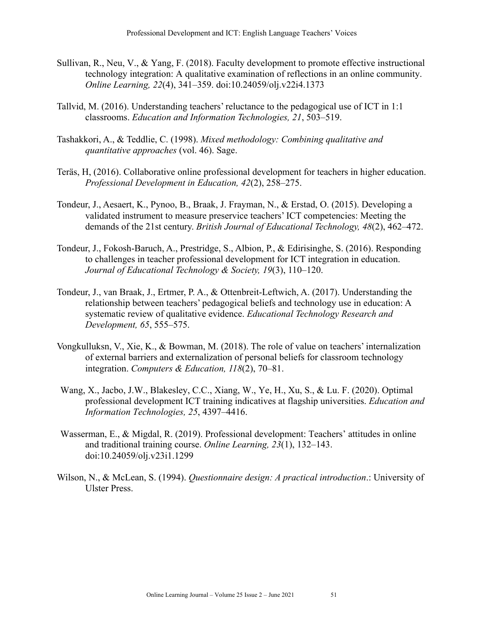- Sullivan, R., Neu, V., & Yang, F. (2018). Faculty development to promote effective instructional technology integration: A qualitative examination of reflections in an online community. *Online Learning, 22*(4), 341–359. doi:10.24059/olj.v22i4.1373
- Tallvid, M. (2016). Understanding teachers' reluctance to the pedagogical use of ICT in 1:1 classrooms. *Education and Information Technologies, 21*, 503–519.
- Tashakkori, A., & Teddlie, C. (1998). *Mixed methodology: Combining qualitative and quantitative approaches* (vol. 46). Sage.
- Teräs, H, (2016). Collaborative online professional development for teachers in higher education. *Professional Development in Education, 42*(2), 258–275.
- Tondeur, J., Aesaert, K., Pynoo, B., Braak, J. Frayman, N., & Erstad, O. (2015). Developing a validated instrument to measure preservice teachers' ICT competencies: Meeting the demands of the 21st century. *British Journal of Educational Technology, 48*(2), 462–472.
- Tondeur, J., Fokosh-Baruch, A., Prestridge, S., Albion, P., & Edirisinghe, S. (2016). Responding to challenges in teacher professional development for ICT integration in education. *Journal of Educational Technology & Society, 19*(3), 110–120.
- Tondeur, J., van Braak, J., Ertmer, P. A., & Ottenbreit-Leftwich, A. (2017). Understanding the relationship between teachers' pedagogical beliefs and technology use in education: A systematic review of qualitative evidence. *Educational Technology Research and Development, 65*, 555–575.
- Vongkulluksn, V., Xie, K., & Bowman, M. (2018). The role of value on teachers' internalization of external barriers and externalization of personal beliefs for classroom technology integration. *Computers & Education, 118*(2), 70–81.
- Wang, X., Jacbo, J.W., Blakesley, C.C., Xiang, W., Ye, H., Xu, S., & Lu. F. (2020). Optimal professional development ICT training indicatives at flagship universities. *Education and Information Technologies, 25*, 4397–4416.
- Wasserman, E., & Migdal, R. (2019). Professional development: Teachers' attitudes in online and traditional training course. *Online Learning, 23*(1), 132–143. doi:10.24059/olj.v23i1.1299
- Wilson, N., & McLean, S. (1994). *Questionnaire design: A practical introduction*.: University of Ulster Press.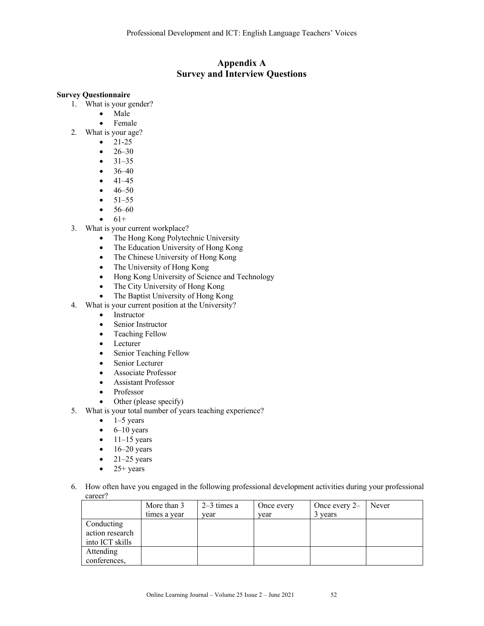# **Appendix A Survey and Interview Questions**

#### **Survey Questionnaire**

- 1. What is your gender?
	- Male
	- Female
- 2. What is your age?
	- $21-25$
	- $26-30$
	- $31-35$
	- $36-40$
	- $41-45$
	- $46-50$
	- $51-55$
	- 56–60
	- $61+$
- 3. What is your current workplace?
	- The Hong Kong Polytechnic University
	- The Education University of Hong Kong
	- The Chinese University of Hong Kong
	- The University of Hong Kong
	- Hong Kong University of Science and Technology
	- The City University of Hong Kong
	- The Baptist University of Hong Kong
- 4. What is your current position at the University?
	- Instructor
	- Senior Instructor
	- Teaching Fellow
	- Lecturer
	- Senior Teaching Fellow
	- Senior Lecturer
	- Associate Professor
	- Assistant Professor
	- Professor
	- Other (please specify)
- 5. What is your total number of years teaching experience?
	- $\bullet$  1–5 years
	- $\bullet$  6–10 years
	- $\bullet$  11–15 years
	- $\bullet$  16–20 years
	- $\bullet$  21–25 years
	- $\bullet$  25+ years
- 6. How often have you engaged in the following professional development activities during your professional career?

|                 | More than 3  | $2-3$ times a | Once every | Once every 2- | Never |
|-----------------|--------------|---------------|------------|---------------|-------|
|                 | times a year | vear          | vear       | 3 years       |       |
| Conducting      |              |               |            |               |       |
| action research |              |               |            |               |       |
| into ICT skills |              |               |            |               |       |
| Attending       |              |               |            |               |       |
| conferences,    |              |               |            |               |       |